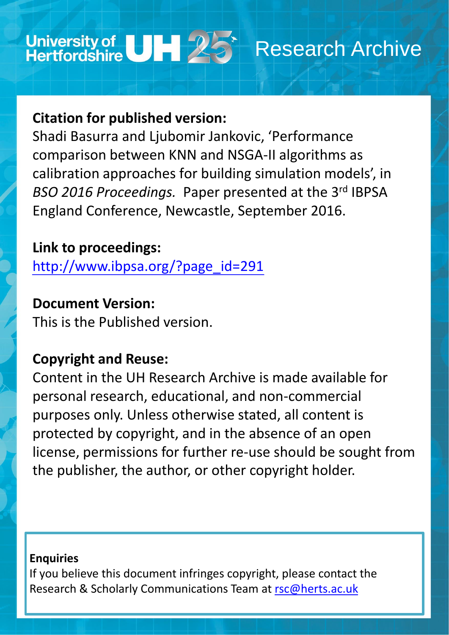# University of UH 25<sup>\*</sup> Research Archive

## **Citation for published version:**

Shadi Basurra and Ljubomir Jankovic, 'Performance comparison between KNN and NSGA-II algorithms as calibration approaches for building simulation models', in BSO 2016 Proceedings. Paper presented at the 3<sup>rd</sup> IBPSA England Conference, Newcastle, September 2016.

### **Link to proceedings:**

[http://www.ibpsa.org/?page\\_id=291](http://www.ibpsa.org/?page_id=291)

### **Document Version:**

This is the Published version.

# **Copyright and Reuse:**

Content in the UH Research Archive is made available for personal research, educational, and non-commercial purposes only. Unless otherwise stated, all content is protected by copyright, and in the absence of an open license, permissions for further re-use should be sought from the publisher, the author, or other copyright holder.

### **Enquiries**

### If you believe this document infringes copyright, please contact the Research & Scholarly Communications Team at [rsc@herts.ac.uk](mailto:rsc@herts.ac.uk)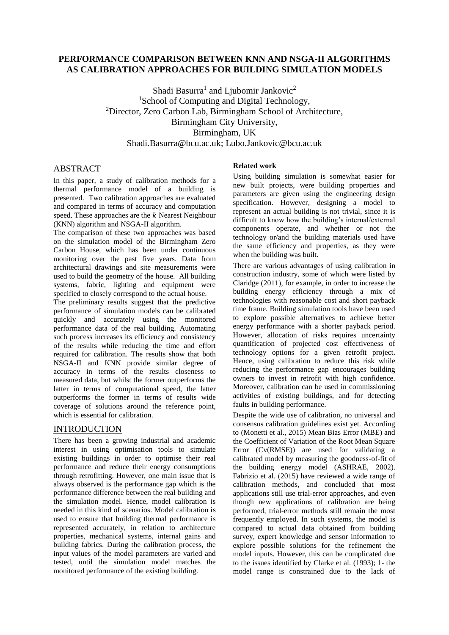#### **PERFORMANCE COMPARISON BETWEEN KNN AND NSGA-II ALGORITHMS AS CALIBRATION APPROACHES FOR BUILDING SIMULATION MODELS**

Shadi Basurra<sup>1</sup> and Ljubomir Jankovic<sup>2</sup> <sup>1</sup>School of Computing and Digital Technology, <sup>2</sup>Director, Zero Carbon Lab, Birmingham School of Architecture, Birmingham City University, Birmingham, UK Shadi.Basurra@bcu.ac.uk; Lubo.Jankovic@bcu.ac.uk

#### ABSTRACT

In this paper, a study of calibration methods for a thermal performance model of a building is presented. Two calibration approaches are evaluated and compared in terms of accuracy and computation speed. These approaches are the  $k$  Nearest Neighbour (KNN) algorithm and NSGA-II algorithm.

The comparison of these two approaches was based on the simulation model of the Birmingham Zero Carbon House, which has been under continuous monitoring over the past five years. Data from architectural drawings and site measurements were used to build the geometry of the house. All building systems, fabric, lighting and equipment were specified to closely correspond to the actual house.

The preliminary results suggest that the predictive performance of simulation models can be calibrated quickly and accurately using the monitored performance data of the real building. Automating such process increases its efficiency and consistency of the results while reducing the time and effort required for calibration. The results show that both NSGA-II and KNN provide similar degree of accuracy in terms of the results closeness to measured data, but whilst the former outperforms the latter in terms of computational speed, the latter outperforms the former in terms of results wide coverage of solutions around the reference point, which is essential for calibration.

#### INTRODUCTION

There has been a growing industrial and academic interest in using optimisation tools to simulate existing buildings in order to optimise their real performance and reduce their energy consumptions through retrofitting. However, one main issue that is always observed is the performance gap which is the performance difference between the real building and the simulation model. Hence, model calibration is needed in this kind of scenarios. Model calibration is used to ensure that building thermal performance is represented accurately, in relation to architecture properties, mechanical systems, internal gains and building fabrics. During the calibration process, the input values of the model parameters are varied and tested, until the simulation model matches the monitored performance of the existing building.

#### **Related work**

Using building simulation is somewhat easier for new built projects, were building properties and parameters are given using the engineering design specification. However, designing a model to represent an actual building is not trivial, since it is difficult to know how the building's internal/external components operate, and whether or not the technology or/and the building materials used have the same efficiency and properties, as they were when the building was built.

There are various advantages of using calibration in construction industry, some of which were listed by Claridge (2011), for example, in order to increase the building energy efficiency through a mix of technologies with reasonable cost and short payback time frame. Building simulation tools have been used to explore possible alternatives to achieve better energy performance with a shorter payback period. However, allocation of risks requires uncertainty quantification of projected cost effectiveness of technology options for a given retrofit project. Hence, using calibration to reduce this risk while reducing the performance gap encourages building owners to invest in retrofit with high confidence. Moreover, calibration can be used in commissioning activities of existing buildings, and for detecting faults in building performance.

Despite the wide use of calibration, no universal and consensus calibration guidelines exist yet. According to (Monetti et al., 2015) Mean Bias Error (MBE) and the Coefficient of Variation of the Root Mean Square Error (Cv(RMSE)) are used for validating a calibrated model by measuring the goodness-of-fit of the building energy model (ASHRAE, 2002). Fabrizio et al. (2015) have reviewed a wide range of calibration methods, and concluded that most applications still use trial-error approaches, and even though new applications of calibration are being performed, trial-error methods still remain the most frequently employed. In such systems, the model is compared to actual data obtained from building survey, expert knowledge and sensor information to explore possible solutions for the refinement the model inputs. However, this can be complicated due to the issues identified by Clarke et al. (1993); 1- the model range is constrained due to the lack of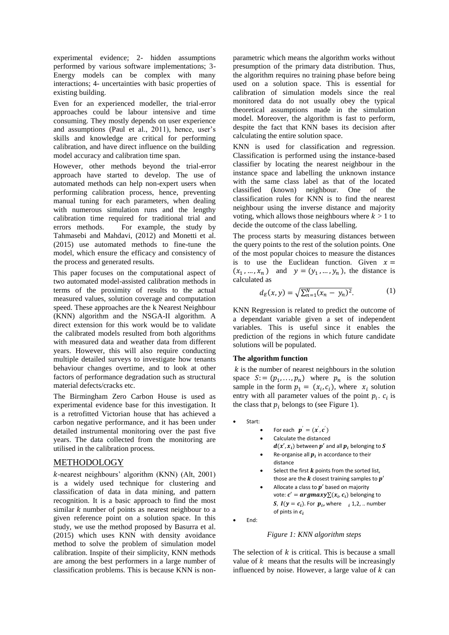experimental evidence; 2- hidden assumptions performed by various software implementations; 3- Energy models can be complex with many interactions; 4- uncertainties with basic properties of existing building.

Even for an experienced modeller, the trial-error approaches could be labour intensive and time consuming. They mostly depends on user experience and assumptions (Paul et al., 2011), hence, user's skills and knowledge are critical for performing calibration, and have direct influence on the building model accuracy and calibration time span.

However, other methods beyond the trial-error approach have started to develop. The use of automated methods can help non-expert users when performing calibration process, hence, preventing manual tuning for each parameters, when dealing with numerous simulation runs and the lengthy calibration time required for traditional trial and<br>errors methods. For example, the study by For example, the study by Tahmasebi and Mahdavi, (2012) and Monetti et al. (2015) use automated methods to fine-tune the model, which ensure the efficacy and consistency of the process and generated results.

This paper focuses on the computational aspect of two automated model-assisted calibration methods in terms of the proximity of results to the actual measured values, solution coverage and computation speed. These approaches are the k Nearest Neighbour (KNN) algorithm and the NSGA-II algorithm. A direct extension for this work would be to validate the calibrated models resulted from both algorithms with measured data and weather data from different years. However, this will also require conducting multiple detailed surveys to investigate how tenants behaviour changes overtime, and to look at other factors of performance degradation such as structural material defects/cracks etc.

The Birmingham Zero Carbon House is used as experimental evidence base for this investigation. It is a retrofitted Victorian house that has achieved a carbon negative performance, and it has been under detailed instrumental monitoring over the past five years. The data collected from the monitoring are utilised in the calibration process.

#### METHODOLOGY

-nearest neighbours' algorithm (KNN) (Alt, 2001) is a widely used technique for clustering and classification of data in data mining, and pattern recognition. It is a basic approach to find the most similar  $k$  number of points as nearest neighbour to a given reference point on a solution space. In this study, we use the method proposed by Basurra et al. (2015) which uses KNN with density avoidance method to solve the problem of simulation model calibration. Inspite of their simplicity, KNN methods are among the best performers in a large number of classification problems. This is because KNN is non-

parametric which means the algorithm works without presumption of the primary data distribution. Thus, the algorithm requires no training phase before being used on a solution space. This is essential for calibration of simulation models since the real monitored data do not usually obey the typical theoretical assumptions made in the simulation model. Moreover, the algorithm is fast to perform, despite the fact that KNN bases its decision after calculating the entire solution space.

KNN is used for classification and regression. Classification is performed using the instance-based classifier by locating the nearest neighbour in the instance space and labelling the unknown instance with the same class label as that of the located classified (known) neighbour. One of the classification rules for KNN is to find the nearest neighbour using the inverse distance and majority voting, which allows those neighbours where  $k > 1$  to decide the outcome of the class labelling.

The process starts by measuring distances between the query points to the rest of the solution points. One of the most popular choices to measure the distances is to use the Euclidean function. Given  $x =$  $(x_1, ..., x_n)$  and  $y = (y_1, ..., y_n)$ , the distance is calculated as

$$
d_E(x, y) = \sqrt{\sum_{n=1}^{N} (x_n - y_n)^2}.
$$
 (1)

KNN Regression is related to predict the outcome of a dependant variable given a set of independent variables. This is useful since it enables the prediction of the regions in which future candidate solutions will be populated.

#### **The algorithm function**

 $k$  is the number of nearest neighbours in the solution space  $S = (p_1, \ldots, p_n)$  where  $p_n$  is the solution sample in the form  $p_1 = (x_i, c_i)$ , where  $x_i$  solution entry with all parameter values of the point  $p_i$ .  $c_i$  is the class that  $p_i$  belongs to (see Figure 1).

- c Start:
	- c For each  $\boldsymbol{p}' = (\boldsymbol{x}', \boldsymbol{c}')$
	- c Calculate the distanced
		- $\bm{d}(\bm{x}', \bm{x_i})$  between  $\bm{p}'$  and all  $\bm{p}_i$  belonging to  $\bm{S}$ Re-organise all  $p_i$  in accordance to their
	- $\ddot{\phantom{a}}$ distance
	- c Select the first  $k$  points from the sorted list, those are the  $k$  closest training samples to  $p'$
	- c Allocate a class to  $p'$  based on majority vote:  $\boldsymbol{c}' = \boldsymbol{argmaxy} \Sigma(x_i, c_i)$  belonging to **S**,  $I(y = c_i)$ . For  $p_i$ , where  $i = 1, 2, ...$  number of pints in  $c_i$
- c End:

#### *Figure 1: KNN algorithm steps*

The selection of  $k$  is critical. This is because a small value of  $k$  means that the results will be increasingly influenced by noise. However, a large value of  $k$  can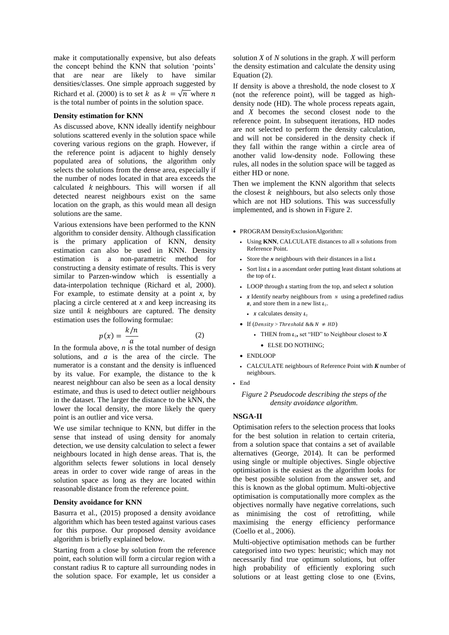make it computationally expensive, but also defeats the concept behind the KNN that solution 'points' that are near are likely to have similar densities/classes. One simple approach suggested by Richard et al. (2000) is to set k as  $k = \sqrt{n}$  where n is the total number of points in the solution space.

#### **Density estimation for KNN**

As discussed above, KNN ideally identify neighbour solutions scattered evenly in the solution space while covering various regions on the graph. However, if the reference point is adjacent to highly densely populated area of solutions, the algorithm only selects the solutions from the dense area, especially if the number of nodes located in that area exceeds the calculated  $k$  neighbours. This will worsen if all detected nearest neighbours exist on the same location on the graph, as this would mean all design solutions are the same.

Various extensions have been performed to the KNN algorithm to consider density. Although classification is the primary application of KNN, density estimation can also be used in KNN. Density estimation is a non-parametric method for constructing a density estimate of results. This is very similar to Parzen-window which is essentially a data-interpolation technique (Richard et al, 2000). For example, to estimate density at a point  $x$ , by placing a circle centered at *x* and keep increasing its size until *k* neighbours are captured. The density estimation uses the following formulae:

$$
p(x) = \frac{k/n}{a} \tag{2}
$$

In the formula above, *n* is the total number of design solutions, and *a* is the area of the circle. The numerator is a constant and the density is influenced by its value. For example, the distance to the k nearest neighbour can also be seen as a local density estimate, and thus is used to detect outlier neighbours in the dataset. The larger the distance to the kNN, the lower the local density, the more likely the query point is an outlier and vice versa.

We use similar technique to KNN, but differ in the sense that instead of using density for anomaly detection, we use density calculation to select a fewer neighbours located in high dense areas. That is, the algorithm selects fewer solutions in local densely areas in order to cover wide range of areas in the solution space as long as they are located within reasonable distance from the reference point.

#### **Density avoidance for KNN**

Basurra et al., (2015) proposed a density avoidance algorithm which has been tested against various cases for this purpose. Our proposed density avoidance algorithm is briefly explained below.

Starting from a close by solution from the reference point, each solution will form a circular region with a constant radius R to capture all surrounding nodes in the solution space. For example, let us consider a

solution *X* of *N* solutions in the graph. *X* will perform the density estimation and calculate the density using Equation (2).

If density is above a threshold, the node closest to *X* (not the reference point), will be tagged as highdensity node (HD). The whole process repeats again, and *X* becomes the second closest node to the reference point. In subsequent iterations, HD nodes are not selected to perform the density calculation, and will not be considered in the density check if they fall within the range within a circle area of another valid low-density node. Following these rules, all nodes in the solution space will be tagged as either HD or none.

Then we implement the KNN algorithm that selects the closest  $k$  neighbours, but also selects only those which are not HD solutions. This was successfully implemented, and is shown in Figure 2.

- PROGRAM DensityExclusionAlgorithm:
	- Using **KNN**, CALCULATE distances to all *N* solutions from Reference Point.
	- Store the *N* neighbours with their distances in a list  $\bf{L}$
	- Sort list  $\iota$  in a ascendant order putting least distant solutions at the top of  $L$ .
	- LOOP through  *starting from the top, and select*  $*x*$  *solution*
	- x Identify nearby neighbours from  $N$  using a predefined radius  $\bf{r}$ , and store them in a new list  $\bf{r}$ .
		- x calculates density  $L_2$
	- If (Density > Threshold &&  $N ≠ HD$ )
		- THEN from  $L_2$ , set "HD" to Neighbour closest to  $X$ 
			- ELSE DO NOTHING;
	- ENDLOOP
	- CALCULATE neighbours of Reference Point with *K* number of neighbours.
- End

*Figure 2 Pseudocode describing the steps of the density avoidance algorithm.*

#### **NSGA-II**

Optimisation refers to the selection process that looks for the best solution in relation to certain criteria, from a solution space that contains a set of available alternatives (George, 2014). It can be performed using single or multiple objectives. Single objective optimisation is the easiest as the algorithm looks for the best possible solution from the answer set, and this is known as the global optimum. Multi-objective optimisation is computationally more complex as the objectives normally have negative correlations, such as minimising the cost of retrofitting, while maximising the energy efficiency performance (Coello et al., 2006).

Multi-objective optimisation methods can be further categorised into two types: heuristic; which may not necessarily find true optimum solutions, but offer high probability of efficiently exploring such solutions or at least getting close to one (Evins,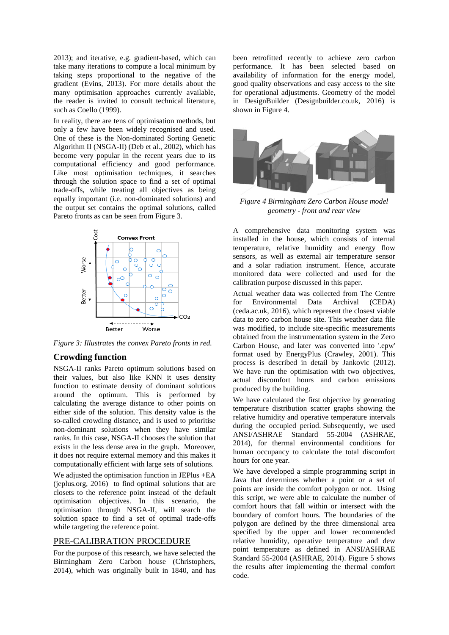2013); and iterative, e.g. gradient-based, which can take many iterations to compute a local minimum by taking steps proportional to the negative of the gradient (Evins, 2013). For more details about the many optimisation approaches currently available, the reader is invited to consult technical literature, such as Coello (1999).

In reality, there are tens of optimisation methods, but only a few have been widely recognised and used. One of these is the Non-dominated Sorting Genetic Algorithm II (NSGA-II) (Deb et al., 2002), which has become very popular in the recent years due to its computational efficiency and good performance. Like most optimisation techniques, it searches through the solution space to find a set of optimal trade-offs, while treating all objectives as being equally important (i.e. non-dominated solutions) and the output set contains the optimal solutions, called Pareto fronts as can be seen from Figure 3.



*Figure 3: Illustrates the convex Pareto fronts in red.*

#### **Crowding function**

NSGA-II ranks Pareto optimum solutions based on their values, but also like KNN it uses density function to estimate density of dominant solutions around the optimum. This is performed by calculating the average distance to other points on either side of the solution. This density value is the so-called crowding distance, and is used to prioritise non-dominant solutions when they have similar ranks. In this case, NSGA-II chooses the solution that exists in the less dense area in the graph. Moreover, it does not require external memory and this makes it computationally efficient with large sets of solutions.

We adjusted the optimisation function in JEPlus +EA (jeplus.org, 2016) to find optimal solutions that are closets to the reference point instead of the default optimisation objectives. In this scenario, the optimisation through NSGA-II, will search the solution space to find a set of optimal trade-offs while targeting the reference point.

#### PRE-CALIBRATION PROCEDURE

For the purpose of this research, we have selected the Birmingham Zero Carbon house (Christophers, 2014), which was originally built in 1840, and has been retrofitted recently to achieve zero carbon performance. It has been selected based on availability of information for the energy model, good quality observations and easy access to the site for operational adjustments. Geometry of the model in DesignBuilder (Designbuilder.co.uk, 2016) is shown in Figure 4.



*Figure 4 Birmingham Zero Carbon House model geometry - front and rear view*

A comprehensive data monitoring system was installed in the house, which consists of internal temperature, relative humidity and energy flow sensors, as well as external air temperature sensor and a solar radiation instrument. Hence, accurate monitored data were collected and used for the calibration purpose discussed in this paper.

Actual weather data was collected from The Centre for Environmental Data Archival (CEDA) (ceda.ac.uk, 2016), which represent the closest viable data to zero carbon house site. This weather data file was modified, to include site-specific measurements obtained from the instrumentation system in the Zero Carbon House, and later was converted into '.epw' format used by EnergyPlus (Crawley, 2001). This process is described in detail by Jankovic (2012). We have run the optimisation with two objectives, actual discomfort hours and carbon emissions produced by the building.

We have calculated the first objective by generating temperature distribution scatter graphs showing the relative humidity and operative temperature intervals during the occupied period. Subsequently, we used ANSI/ASHRAE Standard 55-2004 (ASHRAE, 2014), for thermal environmental conditions for human occupancy to calculate the total discomfort hours for one year.

We have developed a simple programming script in Java that determines whether a point or a set of points are inside the comfort polygon or not. Using this script, we were able to calculate the number of comfort hours that fall within or intersect with the boundary of comfort hours. The boundaries of the polygon are defined by the three dimensional area specified by the upper and lower recommended relative humidity, operative temperature and dew point temperature as defined in ANSI/ASHRAE Standard 55-2004 (ASHRAE, 2014). Figure 5 shows the results after implementing the thermal comfort code.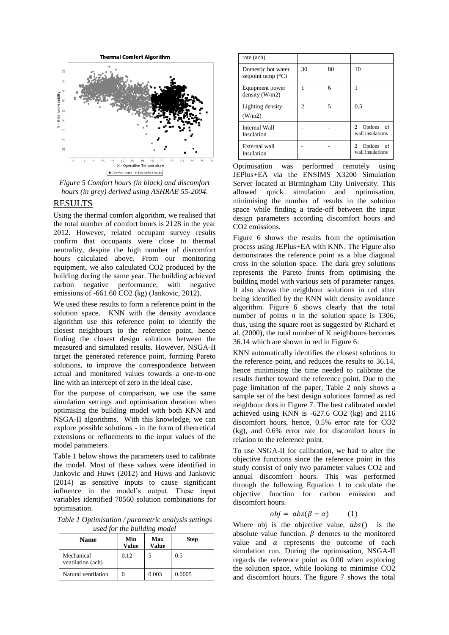

*Figure 5 Comfort hours (in black) and discomfort hours (in grey) derived using ASHRAE 55-2004.*

#### RESULTS

Using the thermal comfort algorithm, we realised that the total number of comfort hours is 2128 in the year 2012. However, related occupant survey results confirm that occupants were close to thermal neutrality, despite the high number of discomfort hours calculated above. From our monitoring equipment, we also calculated CO2 produced by the building during the same year. The building achieved carbon negative performance, with negative emissions of -661.60 CO2 (kg) (Jankovic, 2012).

We used these results to form a reference point in the solution space. KNN with the density avoidance algorithm use this reference point to identify the closest neighbours to the reference point, hence finding the closest design solutions between the measured and simulated results. However, NSGA-II target the generated reference point, forming Pareto solutions, to improve the correspondence between actual and monitored values towards a one-to-one line with an intercept of zero in the ideal case.

For the purpose of comparison, we use the same simulation settings and optimisation duration when optimising the building model with both KNN and NSGA-II algorithms. With this knowledge, we can explore possible solutions - in the form of theoretical extensions or refinements to the input values of the model parameters.

Table 1 below shows the parameters used to calibrate the model. Most of these values were identified in Jankovic and Huws (2012) and Huws and Jankovic (2014) as sensitive inputs to cause significant influence in the model's output. These input variables identified 70560 solution combinations for optimisation.

*Table 1 Optimisation / parametric analysis settings used for the building model*

| <b>Name</b>                     | Min<br>Value | Max<br>Value | <b>Step</b> |
|---------------------------------|--------------|--------------|-------------|
| Mechanical<br>ventilation (ach) | 0.12         |              | 0.5         |
| Natural ventilation             |              | 0.003        | 0.0005      |

| rate (ach)                                        |                |    |                                                               |
|---------------------------------------------------|----------------|----|---------------------------------------------------------------|
| Domestic hot water<br>setpoint temp $(^{\circ}C)$ | 30             | 80 | 10                                                            |
| Equipment power<br>density $(W/m2)$               |                | 6  |                                                               |
| Lighting density<br>(W/m2)                        | $\overline{c}$ | 5  | 0.5                                                           |
| <b>Internal Wall</b><br>Insulation                |                |    | Options of<br>2<br>wall insulations                           |
| External wall<br>Insulation                       |                |    | Options of<br>$\mathcal{D}_{\mathcal{A}}$<br>wall insulations |

Optimisation was performed remotely using JEPlus+EA via the ENSIMS X3200 Simulation Server located at Birmingham City University. This allowed quick simulation and optimisation, minimising the number of results in the solution space while finding a trade-off between the input design parameters according discomfort hours and CO2 emissions.

Figure 6 shows the results from the optimisation process using JEPlus+EA with KNN. The Figure also demonstrates the reference point as a blue diagonal cross in the solution space. The dark grey solutions represents the Pareto fronts from optimising the building model with various sets of parameter ranges. It also shows the neighbour solutions in red after being identified by the KNN with density avoidance algorithm. Figure 6 shows clearly that the total number of points *n* in the solution space is 1306, thus, using the square root as suggested by Richard et al. (2000), the total number of K neighbours becomes 36.14 which are shown in red in Figure 6.

KNN automatically identifies the closest solutions to the reference point, and reduces the results to 36.14, hence minimising the time needed to calibrate the results further toward the reference point. Due to the page limitation of the paper, Table 2 only shows a sample set of the best design solutions formed as red neighbour dots in Figure 7. The best calibrated model achieved using KNN is -627.6 CO2 (kg) and 2116 discomfort hours, hence, 0.5% error rate for CO2 (kg), and 0.6% error rate for discomfort hours in relation to the reference point.

To use NSGA-II for calibration, we had to alter the objective functions since the reference point in this study consist of only two parameter values CO2 and annual discomfort hours. This was performed through the following Equation 1 to calculate the objective function for carbon emission and discomfort hours.

$$
obj = abs(\beta - \alpha) \qquad (1)
$$

Where obj is the objective value,  $abs()$  is the absolute value function.  $\beta$  denotes to the monitored value and  $\alpha$  represents the outcome of each simulation run. During the optimisation, NSGA-II regards the reference point as 0.00 when exploring the solution space, while looking to minimise CO2 and discomfort hours. The figure 7 shows the total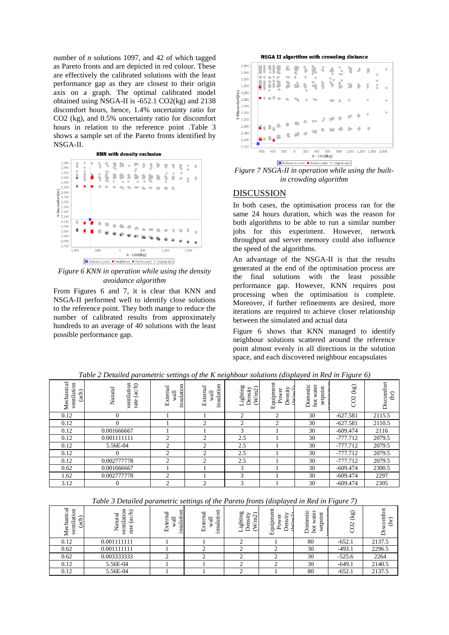number of *n* solutions 1097, and 42 of which tagged as Pareto fronts and are depicted in red colour. These are effectively the calibrated solutions with the least performance gap as they are closest to their origin axis on a graph. The optimal calibrated model obtained using NSGA-II is -652.1 CO2(kg) and 2138 discomfort hours, hence, 1.4% uncertainty ratio for CO2 (kg), and 0.5% uncertainty ratio for discomfort hours in relation to the reference point .Table 3 shows a sample set of the Pareto fronts identified by NSGA-II.

**KNN with density exclusion** 



*Figure 6 KNN in operation while using the density avoidance algorithm*

From Figures 6 and 7, it is clear that KNN and NSGA-II performed well to identify close solutions to the reference point. They both mange to reduce the number of calibrated results from approximately hundreds to an average of 40 solutions with the least possible performance gap.

**NSGA II algorithm with crowding distance** 



*Figure 7 NSGA-II in operation while using the builtin crowding algorithm*

#### DISCUSSION

In both cases, the optimisation process ran for the same 24 hours duration, which was the reason for both algorithms to be able to run a similar number jobs for this experiment. However, network throughput and server memory could also influence the speed of the algorithms.

An advantage of the NSGA-II is that the results generated at the end of the optimisation process are the final solutions with the least possible performance gap. However, KNN requires post processing when the optimisation is complete. Moreover, if further refinements are desired, more iterations are required to achieve closer relationship between the simulated and actual data

Figure 6 shows that KNN managed to identify neighbour solutions scattered around the reference point almost evenly in all directions in the solution space, and each discovered neighbour encapsulates

| Mechanical<br>ventilation<br>(ach) | ventilation<br>(ac/h)<br>Natural<br>rate | insulation<br>ನ<br>Extern<br>wall | g<br>External<br>insulati<br>wall | Lighting<br>$(\mbox{W/m2})$<br>Density | Equipment<br>Density<br>Power<br>$\overline{\mathbf{u}}$ | water<br>Domestic<br>setpoint<br>hot | $\left(\frac{5}{2}\right)$<br>CO <sub>2</sub> | Discomfort<br>$\lim_{h \to 0}$ |
|------------------------------------|------------------------------------------|-----------------------------------|-----------------------------------|----------------------------------------|----------------------------------------------------------|--------------------------------------|-----------------------------------------------|--------------------------------|
| 0.12                               | $\Omega$                                 |                                   |                                   | 2                                      | 2                                                        | 30                                   | $-627.581$                                    | 2115.5                         |
| 0.12                               | $\Omega$                                 |                                   | $\mathfrak{D}$                    | $\overline{c}$                         | 2                                                        | 30                                   | $-627.581$                                    | 2110.5                         |
| 0.12                               | 0.001666667                              |                                   |                                   | 3                                      |                                                          | 30                                   | $-609.474$                                    | 2116                           |
| 0.12                               | 0.001111111                              | $\overline{c}$                    | $\overline{c}$                    | 2.5                                    |                                                          | 30                                   | $-777.712$                                    | 2079.5                         |
| 0.12                               | 5.56E-04                                 | $\Omega$                          | $\mathfrak{D}$                    | 2.5                                    |                                                          | 30                                   | $-777.712$                                    | 2079.5                         |
| 0.12                               |                                          | $\Omega$                          | $\mathcal{L}$                     | 2.5                                    |                                                          | 30                                   | $-777.712$                                    | 2079.5                         |
| 0.12                               | 0.002777778                              | $\mathfrak{D}$                    | $\mathfrak{D}$                    | 2.5                                    |                                                          | 30                                   | $-777.712$                                    | 2079.5                         |
| 0.62                               | 0.001666667                              |                                   |                                   | 3                                      |                                                          | 30                                   | $-609.474$                                    | 2300.5                         |
| 1.62                               | 0.002777778                              | ↑                                 |                                   | 3                                      |                                                          | 30                                   | $-609.474$                                    | 2297                           |
| 3.12                               |                                          | $\mathcal{L}$                     | $\overline{c}$                    | 3                                      |                                                          | 30                                   | $-609.474$                                    | 2305                           |

*Table 2 Detailed parametric settings of the K neighbour solutions (displayed in Red in Figure 6)*

*Table 3 Detailed parametric settings of the Pareto fronts (displayed in Red in Figure 7)*

| ह<br>$\overline{\mathrm{m}}$<br>Ē<br>ventilati<br>╭<br>ਰ<br>Mechi<br>ಡ<br>$\checkmark$ | ventilation<br>Ξ<br>Vatural<br>GC)<br>rate<br>↩ | 5<br>ಸ<br>insulation<br>ਜ਼<br>ω<br>ш | g<br>ಸ<br>insulati<br>ಸ<br>ter<br>ш | ighting<br>sity<br>$\sim$<br>Ξ<br>5<br>⊣ | quipment<br>≏<br>ಕ<br>Ĕ<br>م<br>щ | estic<br>ater<br>ب<br>≔<br>ā<br>Ξ<br>≏<br>set<br>hot<br>δ | (kg)<br>$\mathbf{\sim}$ | Discomfort<br>$(\text{hr})$ |
|----------------------------------------------------------------------------------------|-------------------------------------------------|--------------------------------------|-------------------------------------|------------------------------------------|-----------------------------------|-----------------------------------------------------------|-------------------------|-----------------------------|
| 0.12                                                                                   | 0.001111111                                     |                                      |                                     |                                          |                                   | 80                                                        | $-652.1$                | 2137.5                      |
| 0.62                                                                                   | 0.001111111                                     |                                      |                                     |                                          |                                   | 30                                                        | $-493.1$                | 2296.5                      |
| 0.62                                                                                   | 0.003333333                                     |                                      |                                     |                                          |                                   | 30                                                        | $-525.6$                | 2264                        |
| 0.12                                                                                   | 5.56E-04                                        |                                      |                                     |                                          |                                   | 30                                                        | $-649.1$                | 2140.5                      |
| 0.12                                                                                   | 5.56E-04                                        |                                      |                                     |                                          |                                   | 80                                                        | $-652.1$                | 2137.5                      |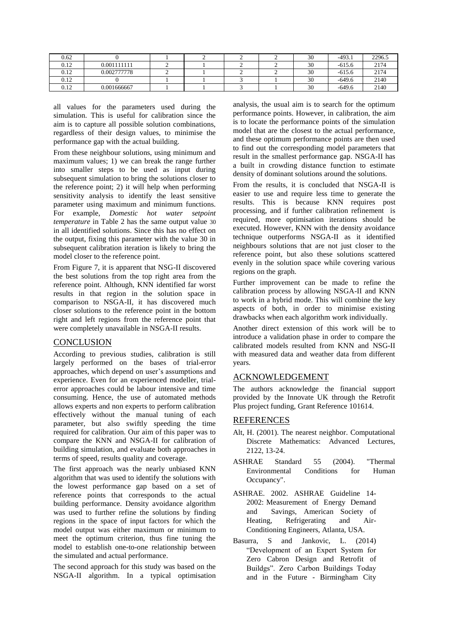| 0.62 |             |  |  | 30 | $-493.1$ | 2296.5 |
|------|-------------|--|--|----|----------|--------|
| 0.12 | 0.001111111 |  |  | 30 | $-615.6$ | 2174   |
| 0.12 | 0.002777778 |  |  | 30 | $-615.6$ | 2174   |
| 0.12 |             |  |  | 30 | $-649.6$ | 2140   |
| 0.12 | 0.001666667 |  |  | 30 | $-649.6$ | 2140   |

all values for the parameters used during the simulation. This is useful for calibration since the aim is to capture all possible solution combinations, regardless of their design values, to minimise the performance gap with the actual building.

From these neighbour solutions, using minimum and maximum values; 1) we can break the range further into smaller steps to be used as input during subsequent simulation to bring the solutions closer to the reference point; 2) it will help when performing sensitivity analysis to identify the least sensitive parameter using maximum and minimum functions. For example, *Domestic hot water setpoint temperature* in Table 2 has the same output value 30 in all identified solutions. Since this has no effect on the output, fixing this parameter with the value 30 in subsequent calibration iteration is likely to bring the model closer to the reference point.

From Figure 7, it is apparent that NSG-II discovered the best solutions from the top right area from the reference point. Although, KNN identified far worst results in that region in the solution space in comparison to NSGA-II, it has discovered much closer solutions to the reference point in the bottom right and left regions from the reference point that were completely unavailable in NSGA-II results.

#### **CONCLUSION**

According to previous studies, calibration is still largely performed on the bases of trial-error approaches, which depend on user's assumptions and experience. Even for an experienced modeller, trialerror approaches could be labour intensive and time consuming. Hence, the use of automated methods allows experts and non experts to perform calibration effectively without the manual tuning of each parameter, but also swiftly speeding the time required for calibration. Our aim of this paper was to compare the KNN and NSGA-II for calibration of building simulation, and evaluate both approaches in terms of speed, results quality and coverage.

The first approach was the nearly unbiased KNN algorithm that was used to identify the solutions with the lowest performance gap based on a set of reference points that corresponds to the actual building performance. Density avoidance algorithm was used to further refine the solutions by finding regions in the space of input factors for which the model output was either maximum or minimum to meet the optimum criterion, thus fine tuning the model to establish one-to-one relationship between the simulated and actual performance.

The second approach for this study was based on the NSGA-II algorithm. In a typical optimisation

analysis, the usual aim is to search for the optimum performance points. However, in calibration, the aim is to locate the performance points of the simulation model that are the closest to the actual performance, and these optimum performance points are then used to find out the corresponding model parameters that result in the smallest performance gap. NSGA-II has a built in crowding distance function to estimate density of dominant solutions around the solutions.

From the results, it is concluded that NSGA-II is easier to use and require less time to generate the results. This is because KNN requires post processing, and if further calibration refinement is required, more optimisation iterations should be executed. However, KNN with the density avoidance technique outperforms NSGA-II as it identified neighbours solutions that are not just closer to the reference point, but also these solutions scattered evenly in the solution space while covering various regions on the graph.

Further improvement can be made to refine the calibration process by allowing NSGA-II and KNN to work in a hybrid mode. This will combine the key aspects of both, in order to minimise existing drawbacks when each algorithm work individually.

Another direct extension of this work will be to introduce a validation phase in order to compare the calibrated models resulted from KNN and NSG-II with measured data and weather data from different years.

#### ACKNOWLEDGEMENT

The authors acknowledge the financial support provided by the Innovate UK through the Retrofit Plus project funding, Grant Reference 101614.

#### REFERENCES

- Alt, H. (2001). The nearest neighbor. Computational Discrete Mathematics: Advanced Lectures, 2122, 13-24.
- ASHRAE Standard 55 (2004). "Thermal Environmental Conditions for Human Occupancy".
- ASHRAE. 2002. ASHRAE Guideline 14- 2002: Measurement of Energy Demand and Savings, American Society of Heating, Refrigerating and Air-Conditioning Engineers, Atlanta, USA.
- Basurra, S and Jankovic, L. (2014) "Development of an Expert System for Zero Cabron Design and Retrofit of Buildgs". Zero Carbon Buildings Today and in the Future - Birmingham City